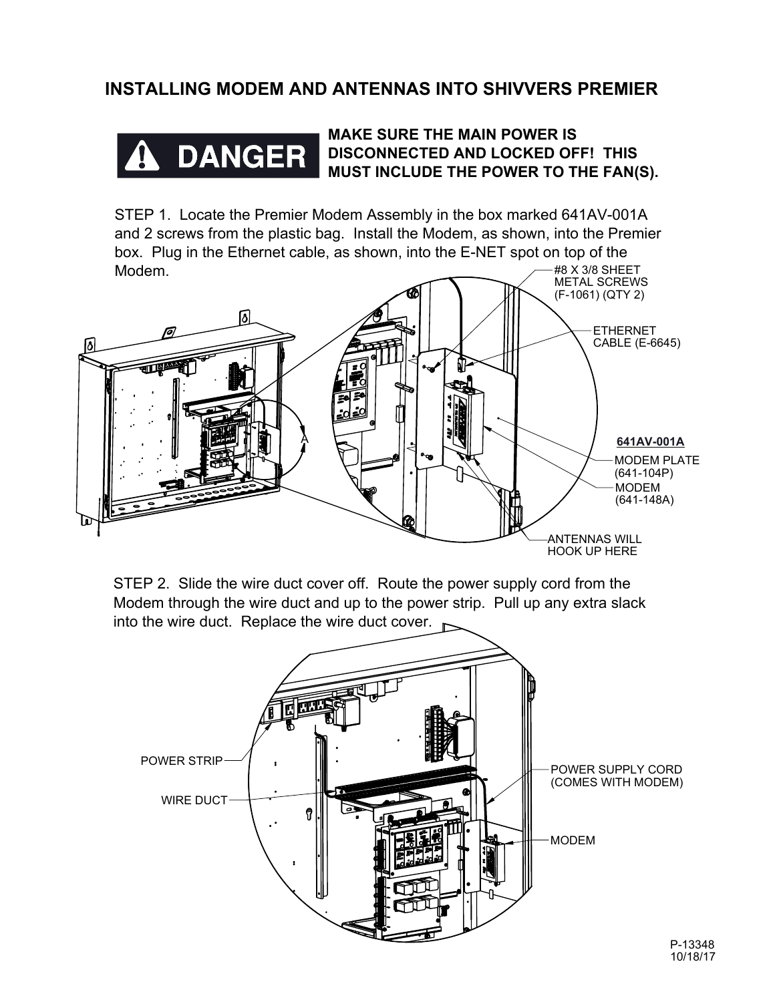## **INSTALLING MODEM AND ANTENNAS INTO SHIVVERS PREMIER**



## **MAKE SURE THE MAIN POWER IS DISCONNECTED AND LOCKED OFF! THIS MUST INCLUDE THE POWER TO THE FAN(S).**

#8 X 3/8 SHEET STEP 1. Locate the Premier Modem Assembly in the box marked 641AV-001A and 2 screws from the plastic bag. Install the Modem, as shown, into the Premier box. Plug in the Ethernet cable, as shown, into the E-NET spot on top of the Modem.



STEP 2. Slide the wire duct cover off. Route the power supply cord from the Modem through the wire duct and up to the power strip. Pull up any extra slack into the wire duct. Replace the wire duct cover.